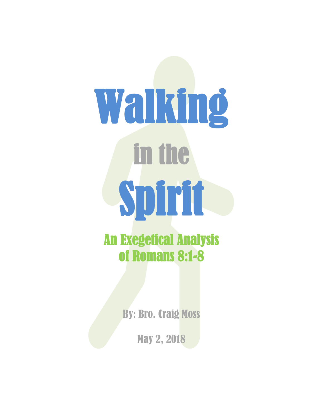# Walking in the Spirit

An Exegetical Analysis of Romans 8:1-8

By: Bro. Craig Moss

May 2, 2018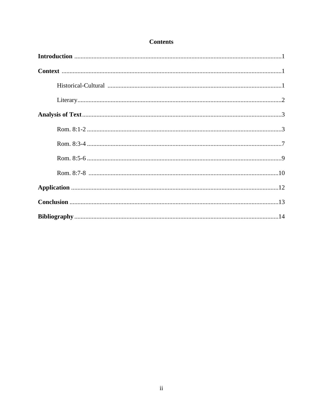# **Contents**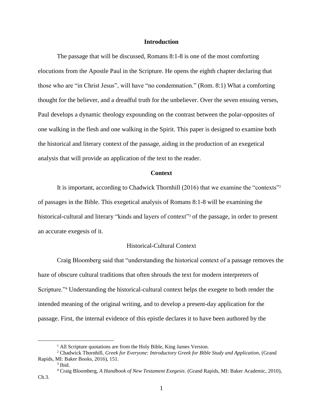# **Introduction**

The passage that will be discussed, Romans 8:1-8 is one of the most comforting elocutions from the Apostle Paul in the Scripture. He opens the eighth chapter declaring that those who are "in Christ Jesus", will have "no condemnation." (Rom. 8:1) What a comforting thought for the believer, and a dreadful truth for the unbeliever. Over the seven ensuing verses, Paul develops a dynamic theology expounding on the contrast between the polar-opposites of one walking in the flesh and one walking in the Spirit. This paper is designed to examine both the historical and literary context of the passage, aiding in the production of an exegetical analysis that will provide an application of the text to the reader.

#### **Context**

It is important, according to Chadwick Thornhill (2016) that we examine the "contexts"<sup>2</sup> of passages in the Bible. This exegetical analysis of Romans 8:1-8 will be examining the historical-cultural and literary "kinds and layers of context" <sup>3</sup> of the passage, in order to present an accurate exegesis of it.

# Historical-Cultural Context

Craig Bloomberg said that "understanding the historical context of a passage removes the haze of obscure cultural traditions that often shrouds the text for modern interpreters of Scripture."<sup>4</sup> Understanding the historical-cultural context helps the exegete to both render the intended meaning of the original writing, and to develop a present-day application for the passage. First, the internal evidence of this epistle declares it to have been authored by the

<sup>&</sup>lt;sup>1</sup> All Scripture quotations are from the Holy Bible, King James Version.

<sup>2</sup> Chadwick Thornhill, *Greek for Everyone: Introductory Greek for Bible Study and Application,* (Grand Rapids, MI: Baker Books, 2016), 151.

<sup>3</sup> Ibid.

<sup>4</sup> Craig Bloomberg, *A Handbook of New Testament Exegesis*. (Grand Rapids, MI: Baker Academic, 2010), Ch.3.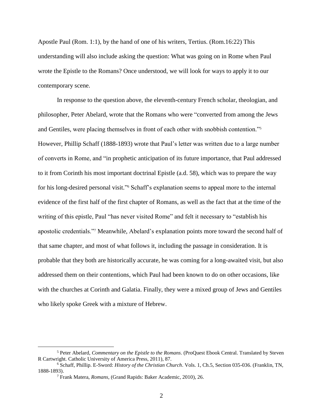Apostle Paul (Rom. 1:1), by the hand of one of his writers, Tertius. (Rom.16:22) This understanding will also include asking the question: What was going on in Rome when Paul wrote the Epistle to the Romans? Once understood, we will look for ways to apply it to our contemporary scene.

In response to the question above, the eleventh-century French scholar, theologian, and philosopher, Peter Abelard, wrote that the Romans who were "converted from among the Jews and Gentiles, were placing themselves in front of each other with snobbish contention."<sup>5</sup> However, Phillip Schaff (1888-1893) wrote that Paul's letter was written due to a large number of converts in Rome, and "in prophetic anticipation of its future importance, that Paul addressed to it from Corinth his most important doctrinal Epistle (a.d. 58), which was to prepare the way for his long-desired personal visit." <sup>6</sup> Schaff's explanation seems to appeal more to the internal evidence of the first half of the first chapter of Romans, as well as the fact that at the time of the writing of this epistle, Paul "has never visited Rome" and felt it necessary to "establish his apostolic credentials."<sup>7</sup> Meanwhile, Abelard's explanation points more toward the second half of that same chapter, and most of what follows it, including the passage in consideration. It is probable that they both are historically accurate, he was coming for a long-awaited visit, but also addressed them on their contentions, which Paul had been known to do on other occasions, like with the churches at Corinth and Galatia. Finally, they were a mixed group of Jews and Gentiles who likely spoke Greek with a mixture of Hebrew.

<sup>5</sup> Peter Abelard, *Commentary on the Epistle to the Romans*. (ProQuest Ebook Central. Translated by Steven R Cartwright. Catholic University of America Press, 2011), 87.

<sup>6</sup> Schaff, Phillip. E-Sword: *History of the Christian Church*. Vols. 1, Ch.5, Section 035-036. (Franklin, TN, 1888-1893).

<sup>7</sup> Frank Matera, *Romans*, (Grand Rapids: Baker Academic, 2010), 26.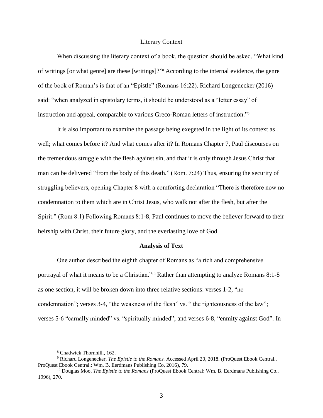# Literary Context

When discussing the literary context of a book, the question should be asked, "What kind of writings [or what genre] are these [writings]?"<sup>8</sup> According to the internal evidence, the genre of the book of Roman's is that of an "Epistle" (Romans 16:22). Richard Longenecker (2016) said: "when analyzed in epistolary terms, it should be understood as a "letter essay" of instruction and appeal, comparable to various Greco-Roman letters of instruction." 9

It is also important to examine the passage being exegeted in the light of its context as well; what comes before it? And what comes after it? In Romans Chapter 7, Paul discourses on the tremendous struggle with the flesh against sin, and that it is only through Jesus Christ that man can be delivered "from the body of this death." (Rom. 7:24) Thus, ensuring the security of struggling believers, opening Chapter 8 with a comforting declaration "There is therefore now no condemnation to them which are in Christ Jesus, who walk not after the flesh, but after the Spirit." (Rom 8:1) Following Romans 8:1-8, Paul continues to move the believer forward to their heirship with Christ, their future glory, and the everlasting love of God.

#### **Analysis of Text**

One author described the eighth chapter of Romans as "a rich and comprehensive portrayal of what it means to be a Christian."<sup>10</sup> Rather than attempting to analyze Romans 8:1-8 as one section, it will be broken down into three relative sections: verses 1-2, "no condemnation"; verses 3-4, "the weakness of the flesh" vs. " the righteousness of the law"; verses 5-6 "carnally minded" vs. "spiritually minded"; and verses 6-8, "enmity against God". In

<sup>8</sup> Chadwick Thornhill., 162.

<sup>9</sup> Richard Longenecker, *The Epistle to the Romans.* Accessed April 20, 2018. (ProQuest Ebook Central., ProQuest Ebook Central.: Wm. B. Eerdmans Publishing Co, 2016), 79.

<sup>10</sup> Douglas Moo, *The Epistle to the Romans* (ProQuest Ebook Central: Wm. B. Eerdmans Publishing Co., 1996), 270.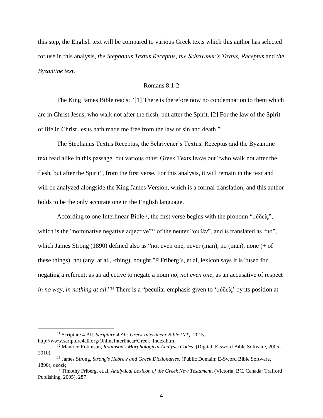this step, the English text will be compared to various Greek texts which this author has selected for use in this analysis, *the Stephanus Textus Receptus*, *the Schrivener's Textus, Receptus* and *the Byzantine text.*

# Romans 8:1-2

The King James Bible reads: "[1] There is therefore now no condemnation to them which are in Christ Jesus, who walk not after the flesh, but after the Spirit. [2] For the law of the Spirit of life in Christ Jesus hath made me free from the law of sin and death."

The Stephanus Textus Receptus, the Schrivener's Textus, Receptus and the Byzantine text read alike in this passage, but various other Greek Texts leave out "who walk not after the flesh, but after the Spirit", from the first verse. For this analysis, it will remain in the text and will be analyzed alongside the King James Version, which is a formal translation, and this author holds to be the only accurate one in the English language.

According to one Interlinear Bible<sup>11</sup>, the first verse begins with the pronoun "οὐδείς", which is the "nominative negative adjective"<sup>12</sup> of the neuter "οὐδὲν", and is translated as "no", which James Strong (1890) defined also as "not even one, never (man), no (man), none (+ of these things), not (any, at all, -thing), nought." <sup>13</sup> Friberg's, et.al, lexicon says it is "used for negating a referent; as an adjective to negate a noun *no, not even one*; as an accusative of respect *in no way, in nothing at all*."<sup>14</sup> There is a "peculiar emphasis given to 'οὐδείς' by its position at

<sup>11</sup> Scripture 4 All. *Scripture 4 All: Greek Interlinear Bible (NT).* 2015. http://www.scripture4all.org/OnlineInterlinear/Greek\_Index.htm.

<sup>12</sup> Maurice Robinson, *Robinson's Morphological Analysis Codes*. (Digital: E-sword Bible Software, 2005- 2010).

<sup>13</sup> James Strong, *Strong's Hebrew and Greek Dictionaries*. (Public Domain: E-Sword Bible Software, 1890), οὐδείς.

<sup>14</sup> Timothy Friberg, et.al. *Analytical Lexicon of the Greek New Testament*. (Victoria, BC, Canada: Trafford Publishing, 2005), 287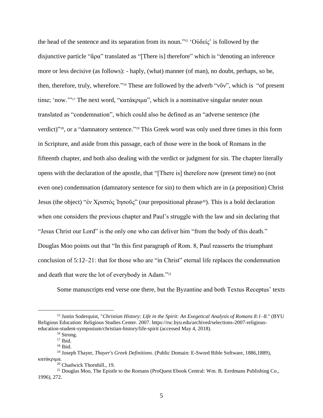the head of the sentence and its separation from its noun."<sup>15</sup> 'Οὐδείς' is followed by the disjunctive particle "ἄρα" translated as "[There is] therefore" which is "denoting an inference more or less decisive (as follows): - haply, (what) manner (of man), no doubt, perhaps, so be, then, therefore, truly, wherefore." <sup>16</sup> These are followed by the adverb "νῦν", which is "of present time; 'now.'" <sup>17</sup> The next word, "κατάκριμα", which is a nominative singular neuter noun translated as "condemnation", which could also be defined as an "adverse sentence (the verdict)"<sup>18</sup>, or a "damnatory sentence."<sup>19</sup> This Greek word was only used three times in this form in Scripture, and aside from this passage, each of those were in the book of Romans in the fifteenth chapter, and both also dealing with the verdict or judgment for sin. The chapter literally opens with the declaration of the apostle, that "[There is] therefore now (present time) no (not even one) condemnation (damnatory sentence for sin) to them which are in (a preposition) Christ Jesus (the object) "ἐν Χριστός Ἰησοῦς" (our prepositional phrase20). This is a bold declaration when one considers the previous chapter and Paul's struggle with the law and sin declaring that "Jesus Christ our Lord" is the only one who can deliver him "from the body of this death." Douglas Moo points out that "In this first paragraph of Rom. 8, Paul reasserts the triumphant conclusion of 5:12–21: that for those who are "in Christ" eternal life replaces the condemnation and death that were the lot of everybody in Adam."<sup>21</sup>

Some manuscripts end verse one there, but the Byzantine and both Textus Receptus' texts

<sup>15</sup> Justin Soderquist, "*Christian History: Life in the Spirit: An Exegetical Analysis of Romans 8:1–8.*" (BYU Religious Education: Religious Studies Center. 2007. https://rsc.byu.edu/archived/selections-2007-religiouseducation-student-symposium/christian-history/life-spirit (accessed May 4, 2018).

<sup>&</sup>lt;sup>16</sup> Strong.

 $17$  Ibid.

 $18$  Ibid.

<sup>19</sup> Joseph Thayer, *Thayer's Greek Definitions*. (Public Domain: E-Sword Bible Software, 1886,1889), κατάκριμα.

<sup>20</sup> Chadwick Thornhill., 19.

<sup>&</sup>lt;sup>21</sup> Douglas Moo, The Epistle to the Romans (ProQuest Ebook Central: Wm. B. Eerdmans Publishing Co., 1996), 272.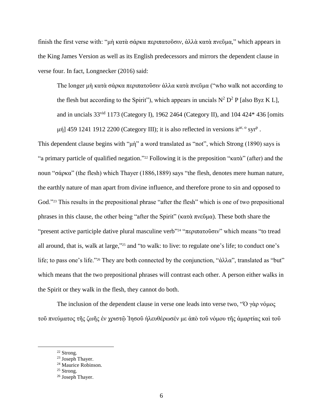finish the first verse with: "μὴ κατὰ σάρκα περιπατοῦσιν, ἀλλὰ κατὰ πνεῦμα," which appears in the King James Version as well as its English predecessors and mirrors the dependent clause in verse four. In fact, Longnecker (2016) said:

The longer μὴ κατὰ σάρκα περιπατοῦσιν ἀλλα κατὰ πνεῦμα ("who walk not according to the flesh but according to the Spirit"), which appears in uncials  $N^2 D^2 P$  [also Byz K L], and in uncials 33vid 1173 (Category I), 1962 2464 (Category II), and 104 424\* 436 [omits μή] 459 1241 1912 2200 (Category III); it is also reflected in versions it<sup>ar, o</sup> syr<sup>p</sup>.

This dependent clause begins with "μὴ" a word translated as "not", which Strong (1890) says is "a primary particle of qualified negation." <sup>22</sup> Following it is the preposition "κατὰ" (after) and the noun "σάρκα" (the flesh) which Thayer (1886,1889) says "the flesh, denotes mere human nature, the earthly nature of man apart from divine influence, and therefore prone to sin and opposed to God."<sup>23</sup> This results in the prepositional phrase "after the flesh" which is one of two prepositional phrases in this clause, the other being "after the Spirit" (κατὰ πνεῦμα). These both share the "present active participle dative plural masculine verb"<sup>24</sup> "περιπατοῦσιν" which means "to tread all around, that is, walk at large,"<sup>25</sup> and "to walk: to live: to regulate one's life; to conduct one's life; to pass one's life."<sup>26</sup> They are both connected by the conjunction, "ἀλλα", translated as "but" which means that the two prepositional phrases will contrast each other. A person either walks in the Spirit or they walk in the flesh, they cannot do both.

The inclusion of the dependent clause in verse one leads into verse two, "Ὁ γὰρ νόμος τοῦ πνεύματος τῆς ζωῆς ἐν χριστῷ Ἰησοῦ ἠλευθέρωσέν με ἀπὸ τοῦ νόμου τῆς ἁμαρτίας καὶ τοῦ

<sup>22</sup> Strong.

<sup>&</sup>lt;sup>23</sup> Joseph Thayer.

<sup>&</sup>lt;sup>24</sup> Maurice Robinson.

<sup>&</sup>lt;sup>25</sup> Strong.

<sup>26</sup> Joseph Thayer.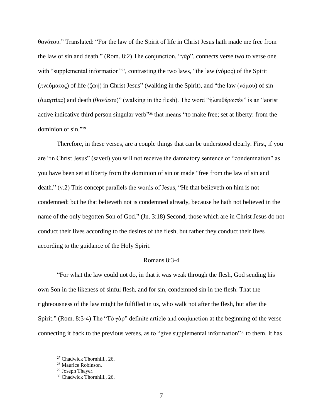θανάτου." Translated: "For the law of the Spirit of life in Christ Jesus hath made me free from the law of sin and death." (Rom. 8:2) The conjunction, "γὰρ", connects verse two to verse one with "supplemental information"<sup>27</sup>, contrasting the two laws, "the law (νόμος) of the Spirit (πνεύματος) of life (ζωή) in Christ Jesus" (walking in the Spirit), and "the law (νόμου) of sin (ἁμαρτίας) and death (θανάτου)" (walking in the flesh). The word "ἠλευθέρωσέν" is an "aorist active indicative third person singular verb<sup>328</sup> that means "to make free; set at liberty: from the dominion of sin."<sup>29</sup>

Therefore, in these verses, are a couple things that can be understood clearly. First, if you are "in Christ Jesus" (saved) you will not receive the damnatory sentence or "condemnation" as you have been set at liberty from the dominion of sin or made "free from the law of sin and death." (v.2) This concept parallels the words of Jesus, "He that believeth on him is not condemned: but he that believeth not is condemned already, because he hath not believed in the name of the only begotten Son of God." (Jn. 3:18) Second, those which are in Christ Jesus do not conduct their lives according to the desires of the flesh, but rather they conduct their lives according to the guidance of the Holy Spirit.

#### Romans 8:3-4

"For what the law could not do, in that it was weak through the flesh, God sending his own Son in the likeness of sinful flesh, and for sin, condemned sin in the flesh: That the righteousness of the law might be fulfilled in us, who walk not after the flesh, but after the Spirit." (Rom. 8:3-4) The "Tὸ γὰρ" definite article and conjunction at the beginning of the verse connecting it back to the previous verses, as to "give supplemental information"<sup>30</sup> to them. It has

<sup>27</sup> Chadwick Thornhill., 26.

<sup>28</sup> Maurice Robinson.

<sup>29</sup> Joseph Thayer.

<sup>30</sup> Chadwick Thornhill., 26.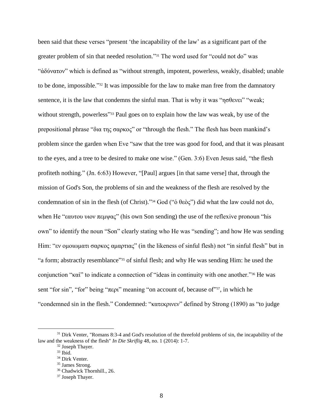been said that these verses "present 'the incapability of the law' as a significant part of the greater problem of sin that needed resolution." <sup>31</sup> The word used for "could not do" was "ἀδύνατον" which is defined as "without strength, impotent, powerless, weakly, disabled; unable to be done, impossible."<sup>32</sup> It was impossible for the law to make man free from the damnatory sentence, it is the law that condemns the sinful man. That is why it was "ησθενει" "weak; without strength, powerless"<sup>33</sup> Paul goes on to explain how the law was weak, by use of the prepositional phrase "δια της σαρκος" or "through the flesh." The flesh has been mankind's problem since the garden when Eve "saw that the tree was good for food, and that it was pleasant to the eyes, and a tree to be desired to make one wise." (Gen. 3:6) Even Jesus said, "the flesh profiteth nothing." (Jn. 6:63) However, "[Paul] argues [in that same verse] that, through the mission of God's Son, the problems of sin and the weakness of the flesh are resolved by the condemnation of sin in the flesh (of Christ)." <sup>34</sup> God ("ὁ θεὸς") did what the law could not do, when He "εαυτου υιον πεμψας" (his own Son sending) the use of the reflexive pronoun "his own" to identify the noun "Son" clearly stating who He was "sending"; and how He was sending Him: "εν ομοιωματι σαρκος αμαρτιας" (in the likeness of sinful flesh) not "in sinful flesh" but in "a form; abstractly resemblance"<sup>35</sup> of sinful flesh; and why He was sending Him: he used the conjunction "καὶ" to indicate a connection of "ideas in continuity with one another."<sup>36</sup> He was sent "for sin", "for" being "περι" meaning "on account of, because of"<sup>37</sup>, in which he "condemned sin in the flesh." Condemned: "κατεκρινεν" defined by Strong (1890) as "to judge

<sup>&</sup>lt;sup>31</sup> Dirk Venter, "Romans 8:3-4 and God's resolution of the threefold problems of sin, the incapability of the law and the weakness of the flesh" *In Die Skriflig* 48, no. 1 (2014): 1-7.

<sup>32</sup> Joseph Thayer.

 $33$  Ibid.

<sup>&</sup>lt;sup>34</sup> Dirk Venter.

<sup>35</sup> James Strong.

<sup>36</sup> Chadwick Thornhill., 26.

<sup>37</sup> Joseph Thayer.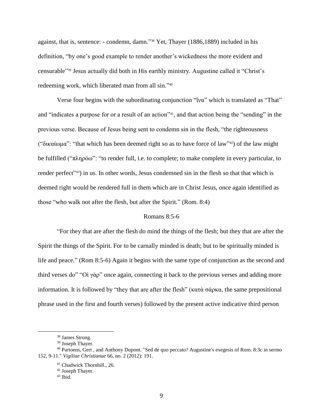against, that is, sentence: - condemn, damn." <sup>38</sup> Yet, Thayer (1886,1889) included in his definition, "by one's good example to render another's wickedness the more evident and censurable" <sup>39</sup> Jesus actually did both in His earthly ministry. Augustine called it "Christ's redeeming work, which liberated man from all sin."<sup>40</sup>

Verse four begins with the subordinating conjunction "ἵνα" which is translated as "That" and "indicates a purpose for or a result of an action"<sup>41</sup>, and that action being the "sending" in the previous verse. Because of Jesus being sent to condemn sin in the flesh, "the righteousness ("δικαίωμα": "that which has been deemed right so as to have force of law"<sup>42</sup>) of the law might be fulfilled ("πληρόω": "to render full, i.e. to complete; to make complete in every particular, to render perfect"<sup>43</sup>) in us. In other words, Jesus condemned sin in the flesh so that that which is deemed right would be rendered full in them which are in Christ Jesus, once again identified as those "who walk not after the flesh, but after the Spirit." (Rom. 8:4)

# Romans 8:5-6

"For they that are after the flesh do mind the things of the flesh; but they that are after the Spirit the things of the Spirit. For to be carnally minded is death; but to be spiritually minded is life and peace." (Rom 8:5-6) Again it begins with the same type of conjunction as the second and third verses do" "Οἱ γὰρ" once again, connecting it back to the previous verses and adding more information. It is followed by "they that are after the flesh" (κατὰ σάρκα, the same prepositional phrase used in the first and fourth verses) followed by the present active indicative third person

<sup>38</sup> James Strong.

<sup>39</sup> Joseph Thayer.

<sup>40</sup> Partoens, Gert , and Anthony Dupont. "Sed de quo peccato? Augustine's exegesis of Rom. 8:3c in sermo 152, 9-11." *Vigiliae Christianae* 66, no. 2 (2012): 191.

<sup>41</sup> Chadwick Thornhill., 26.

<sup>42</sup> Joseph Thayer.

 $43$  Ibid.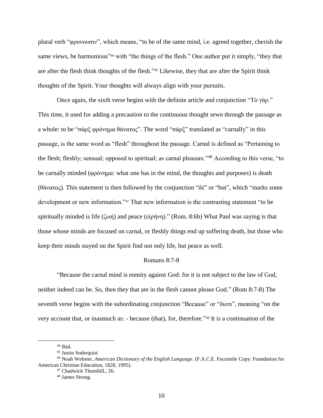plural verb "φρονουσιν", which means, "to be of the same mind, i.e. agreed together, cherish the same views, be harmonious<sup>344</sup> with "the things of the flesh." One author put it simply, "they that are after the flesh think thoughts of the flesh."<sup>45</sup> Likewise, they that are after the Spirit think thoughts of the Spirit. Your thoughts will always align with your pursuits.

Once again, the sixth verse begins with the definite article and conjunction "Tὸ γὰρ." This time, it used for adding a precaution to the continuous thought sewn through the passage as a whole: to be "σάρξ φρόνημα θάνατος". The word "σάρξ" translated as "carnally" in this passage, is the same word as "flesh" throughout the passage. Carnal is defined as "Pertaining to the flesh; fleshly; sensual; opposed to spiritual; as carnal pleasure."<sup>46</sup> According to this verse, "to be carnally minded (φρόνημα: what one has in the mind, the thoughts and purposes) is death (θάνατος). This statement is then followed by the conjunction "δέ" or "but", which "marks some development or new information."<sup>47</sup> That new information is the contrasting statement "to be spiritually minded is life (ζωή) and peace (εἰρήνη)." (Rom. 8:6b) What Paul was saying is that those whose minds are focused on carnal, or fleshly things end up suffering death, but those who keep their minds stayed on the Spirit find not only life, but peace as well.

#### Romans 8:7-8

"Because the carnal mind is enmity against God: for it is not subject to the law of God, neither indeed can be. So, then they that are in the flesh cannot please God." (Rom 8:7-8) The seventh verse begins with the subordinating conjunction "Because" or "διοτι", meaning "on the very account that, or inasmuch as: - because (that), for, therefore." <sup>48</sup> It is a continuation of the

 $44$  Ibid.

<sup>45</sup> Justin Soderquist

<sup>46</sup> Noah Webster, *American Dictionary of the English Language*. (F.A.C.E. Facsimile Copy: Foundation for American Christian Education, 1828, 1995).

<sup>47</sup> Chadwick Thornhill., 26.

<sup>48</sup> James Strong.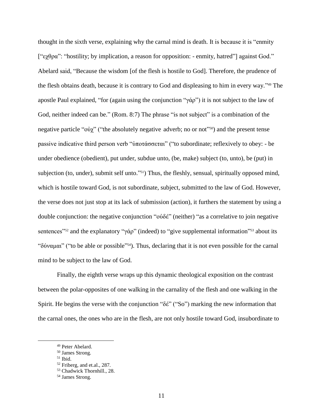thought in the sixth verse, explaining why the carnal mind is death. It is because it is "enmity ["εχθρα": "hostility; by implication, a reason for opposition: - enmity, hatred"] against God." Abelard said, "Because the wisdom [of the flesh is hostile to God]. Therefore, the prudence of the flesh obtains death, because it is contrary to God and displeasing to him in every way." <sup>49</sup> The apostle Paul explained, "for (again using the conjunction "γάρ") it is not subject to the law of God, neither indeed can be." (Rom. 8:7) The phrase "is not subject" is a combination of the negative particle "ovγ" ("the absolutely negative adverb; no or not"<sup>50</sup>) and the present tense passive indicative third person verb "ὑποτάσσεται" ("to subordinate; reflexively to obey: - be under obedience (obedient), put under, subdue unto, (be, make) subject (to, unto), be (put) in subjection (to, under), submit self unto."<sup>51</sup>) Thus, the fleshly, sensual, spiritually opposed mind, which is hostile toward God, is not subordinate, subject, submitted to the law of God. However, the verse does not just stop at its lack of submission (action), it furthers the statement by using a double conjunction: the negative conjunction "οὐδέ" (neither) "as a correlative to join negative sentences<sup>"52</sup> and the explanatory "γάρ" (indeed) to "give supplemental information"<sup>53</sup> about its "δύναμαι" ("to be able or possible"<sup>54</sup>). Thus, declaring that it is not even possible for the carnal mind to be subject to the law of God.

Finally, the eighth verse wraps up this dynamic theological exposition on the contrast between the polar-opposites of one walking in the carnality of the flesh and one walking in the Spirit. He begins the verse with the conjunction "δέ" ("So") marking the new information that the carnal ones, the ones who are in the flesh, are not only hostile toward God, insubordinate to

<sup>49</sup> Peter Abelard.

<sup>50</sup> James Strong.

<sup>51</sup> Ibid.

<sup>52</sup> Friberg, and et.al., 287.

<sup>53</sup> Chadwick Thornhill., 28.

<sup>54</sup> James Strong.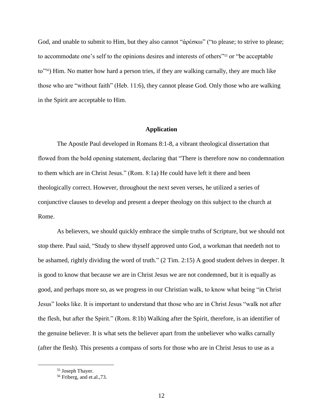God, and unable to submit to Him, but they also cannot "ἀρέσκω" ("to please; to strive to please; to accommodate one's self to the opinions desires and interests of others<sup>155</sup> or "be acceptable to"56) Him. No matter how hard a person tries, if they are walking carnally, they are much like those who are "without faith" (Heb. 11:6), they cannot please God. Only those who are walking in the Spirit are acceptable to Him.

### **Application**

The Apostle Paul developed in Romans 8:1-8, a vibrant theological dissertation that flowed from the bold opening statement, declaring that "There is therefore now no condemnation to them which are in Christ Jesus." (Rom. 8:1a) He could have left it there and been theologically correct. However, throughout the next seven verses, he utilized a series of conjunctive clauses to develop and present a deeper theology on this subject to the church at Rome.

As believers, we should quickly embrace the simple truths of Scripture, but we should not stop there. Paul said, "Study to shew thyself approved unto God, a workman that needeth not to be ashamed, rightly dividing the word of truth." (2 Tim. 2:15) A good student delves in deeper. It is good to know that because we are in Christ Jesus we are not condemned, but it is equally as good, and perhaps more so, as we progress in our Christian walk, to know what being "in Christ Jesus" looks like. It is important to understand that those who are in Christ Jesus "walk not after the flesh, but after the Spirit." (Rom. 8:1b) Walking after the Spirit, therefore, is an identifier of the genuine believer. It is what sets the believer apart from the unbeliever who walks carnally (after the flesh). This presents a compass of sorts for those who are in Christ Jesus to use as a

<sup>55</sup> Joseph Thayer.

<sup>56</sup> Friberg, and et.al.,73.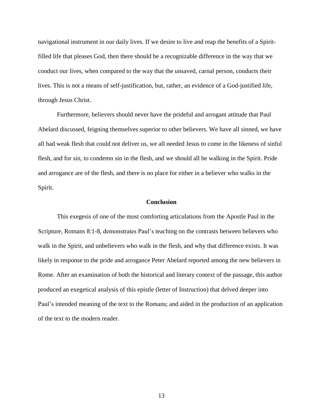navigational instrument in our daily lives. If we desire to live and reap the benefits of a Spiritfilled life that pleases God, then there should be a recognizable difference in the way that we conduct our lives, when compared to the way that the unsaved, carnal person, conducts their lives. This is not a means of self-justification, but, rather, an evidence of a God-justified life, through Jesus Christ.

Furthermore, believers should never have the prideful and arrogant attitude that Paul Abelard discussed, feigning themselves superior to other believers. We have all sinned, we have all had weak flesh that could not deliver us, we all needed Jesus to come in the likeness of sinful flesh, and for sin, to condemn sin in the flesh, and we should all be walking in the Spirit. Pride and arrogance are of the flesh, and there is no place for either in a believer who walks in the Spirit.

#### **Conclusion**

This exegesis of one of the most comforting articulations from the Apostle Paul in the Scripture, Romans 8:1-8, demonstrates Paul's teaching on the contrasts between believers who walk in the Spirit, and unbelievers who walk in the flesh, and why that difference exists. It was likely in response to the pride and arrogance Peter Abelard reported among the new believers in Rome. After an examination of both the historical and literary context of the passage, this author produced an exegetical analysis of this epistle (letter of Instruction) that delved deeper into Paul's intended meaning of the text to the Romans; and aided in the production of an application of the text to the modern reader.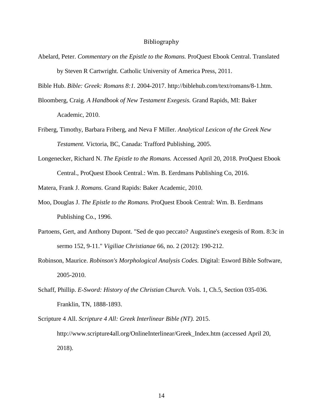# Bibliography

Abelard, Peter. *Commentary on the Epistle to the Romans.* ProQuest Ebook Central. Translated by Steven R Cartwright. Catholic University of America Press, 2011.

Bible Hub. *Bible: Greek: Romans 8:1.* 2004-2017. http://biblehub.com/text/romans/8-1.htm.

Bloomberg, Craig. *A Handbook of New Testament Exegesis.* Grand Rapids, MI: Baker Academic, 2010.

- Friberg, Timothy, Barbara Friberg, and Neva F Miller. *Analytical Lexicon of the Greek New Testament.* Victoria, BC, Canada: Trafford Publishing, 2005.
- Longenecker, Richard N. *The Epistle to the Romans.* Accessed April 20, 2018. ProQuest Ebook Central., ProQuest Ebook Central.: Wm. B. Eerdmans Publishing Co, 2016.

Matera, Frank J. *Romans.* Grand Rapids: Baker Academic, 2010.

- Moo, Douglas J. *The Epistle to the Romans.* ProQuest Ebook Central: Wm. B. Eerdmans Publishing Co., 1996.
- Partoens, Gert, and Anthony Dupont. "Sed de quo peccato? Augustine's exegesis of Rom. 8:3c in sermo 152, 9-11." *Vigiliae Christianae* 66, no. 2 (2012): 190-212.
- Robinson, Maurice. *Robinson's Morphological Analysis Codes.* Digital: Esword Bible Software, 2005-2010.
- Schaff, Phillip. *E-Sword: History of the Christian Church.* Vols. 1, Ch.5, Section 035-036. Franklin, TN, 1888-1893.

Scripture 4 All. *Scripture 4 All: Greek Interlinear Bible (NT).* 2015. http://www.scripture4all.org/OnlineInterlinear/Greek\_Index.htm (accessed April 20, 2018).